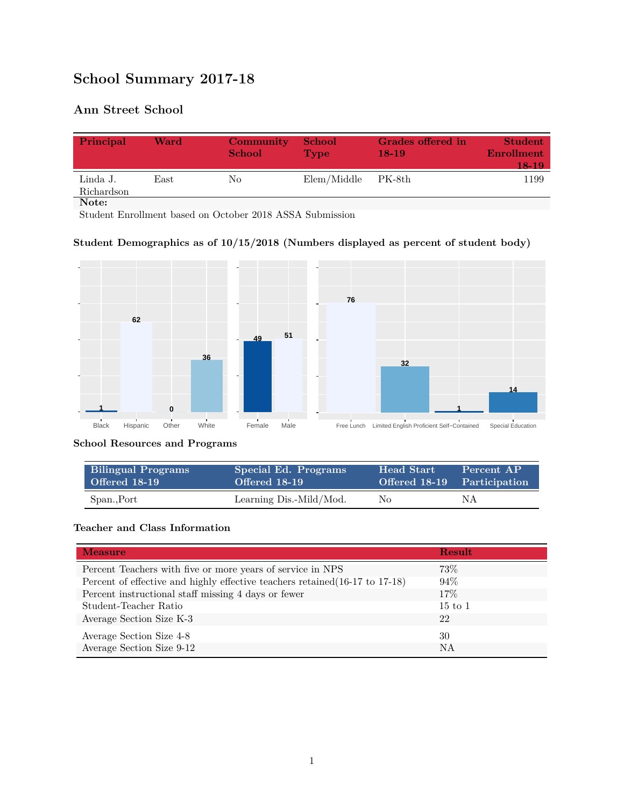# **School Summary 2017-18**

## **Ann Street School**

| Principal              | Ward | Community<br><b>School</b> | <b>School</b><br><b>Type</b> | Grades offered in<br>$18-19$ | <b>Student</b><br><b>Enrollment</b><br>18-19 |
|------------------------|------|----------------------------|------------------------------|------------------------------|----------------------------------------------|
| Linda J.<br>Richardson | East | No                         | Elem/Middle PK-8th           |                              | 1199                                         |
| Note:                  |      |                            |                              |                              |                                              |

Student Enrollment based on October 2018 ASSA Submission

#### **Student Demographics as of 10/15/2018 (Numbers displayed as percent of student body)**



#### **School Resources and Programs**

| <b>Bilingual Programs</b> | Special Ed. Programs    | <b>Head Start</b>           | Percent AP |
|---------------------------|-------------------------|-----------------------------|------------|
| Offered 18-19             | Offered 18-19           | Offered 18-19 Participation |            |
| Span., Port               | Learning Dis.-Mild/Mod. | No                          | ΝA         |

#### **Teacher and Class Information**

| <b>Measure</b>                                                               | <b>Result</b>      |
|------------------------------------------------------------------------------|--------------------|
| Percent Teachers with five or more years of service in NPS                   | 73%                |
| Percent of effective and highly effective teachers retained (16-17 to 17-18) | 94%                |
| Percent instructional staff missing 4 days or fewer                          | 17\%               |
| Student-Teacher Ratio                                                        | $15 \text{ to } 1$ |
| Average Section Size K-3                                                     | 22                 |
| Average Section Size 4-8                                                     | 30                 |
| Average Section Size 9-12                                                    | <b>NA</b>          |